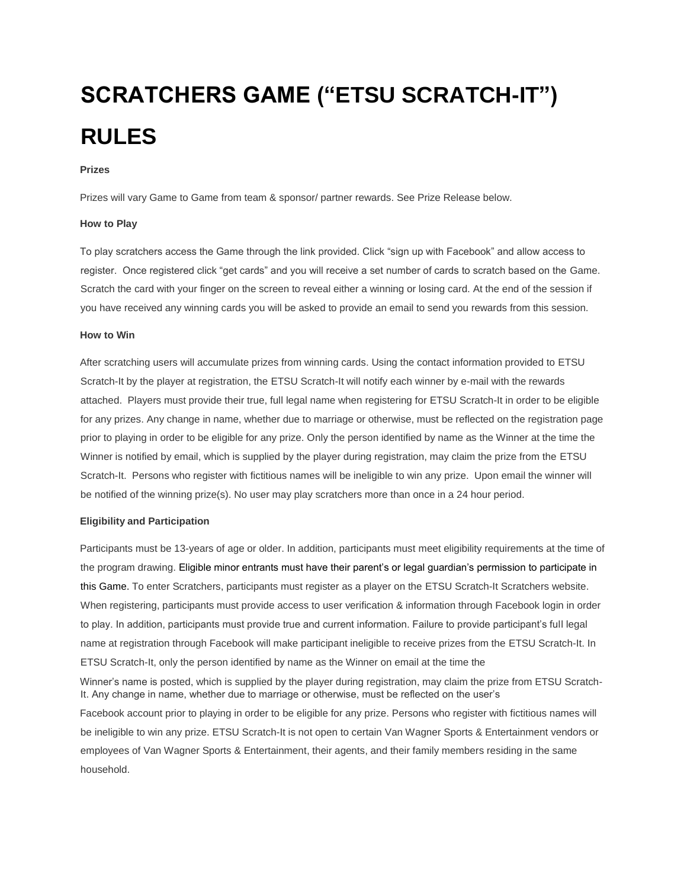# **SCRATCHERS GAME ("ETSU SCRATCH-IT") RULES**

## **Prizes**

Prizes will vary Game to Game from team & sponsor/ partner rewards. See Prize Release below.

## **How to Play**

To play scratchers access the Game through the link provided. Click "sign up with Facebook" and allow access to register. Once registered click "get cards" and you will receive a set number of cards to scratch based on the Game. Scratch the card with your finger on the screen to reveal either a winning or losing card. At the end of the session if you have received any winning cards you will be asked to provide an email to send you rewards from this session.

#### **How to Win**

After scratching users will accumulate prizes from winning cards. Using the contact information provided to ETSU Scratch-It by the player at registration, the ETSU Scratch-It will notify each winner by e-mail with the rewards attached. Players must provide their true, full legal name when registering for ETSU Scratch-It in order to be eligible for any prizes. Any change in name, whether due to marriage or otherwise, must be reflected on the registration page prior to playing in order to be eligible for any prize. Only the person identified by name as the Winner at the time the Winner is notified by email, which is supplied by the player during registration, may claim the prize from the ETSU Scratch-It. Persons who register with fictitious names will be ineligible to win any prize. Upon email the winner will be notified of the winning prize(s). No user may play scratchers more than once in a 24 hour period.

#### **Eligibility and Participation**

Participants must be 13-years of age or older. In addition, participants must meet eligibility requirements at the time of the program drawing. Eligible minor entrants must have their parent's or legal guardian's permission to participate in this Game. To enter Scratchers, participants must register as a player on the ETSU Scratch-It Scratchers website. When registering, participants must provide access to user verification & information through Facebook login in order to play. In addition, participants must provide true and current information. Failure to provide participant's full legal name at registration through Facebook will make participant ineligible to receive prizes from the ETSU Scratch-It. In ETSU Scratch-It, only the person identified by name as the Winner on email at the time the

Winner's name is posted, which is supplied by the player during registration, may claim the prize from ETSU Scratch-It. Any change in name, whether due to marriage or otherwise, must be reflected on the user's Facebook account prior to playing in order to be eligible for any prize. Persons who register with fictitious names will be ineligible to win any prize. ETSU Scratch-It is not open to certain Van Wagner Sports & Entertainment vendors or employees of Van Wagner Sports & Entertainment, their agents, and their family members residing in the same household.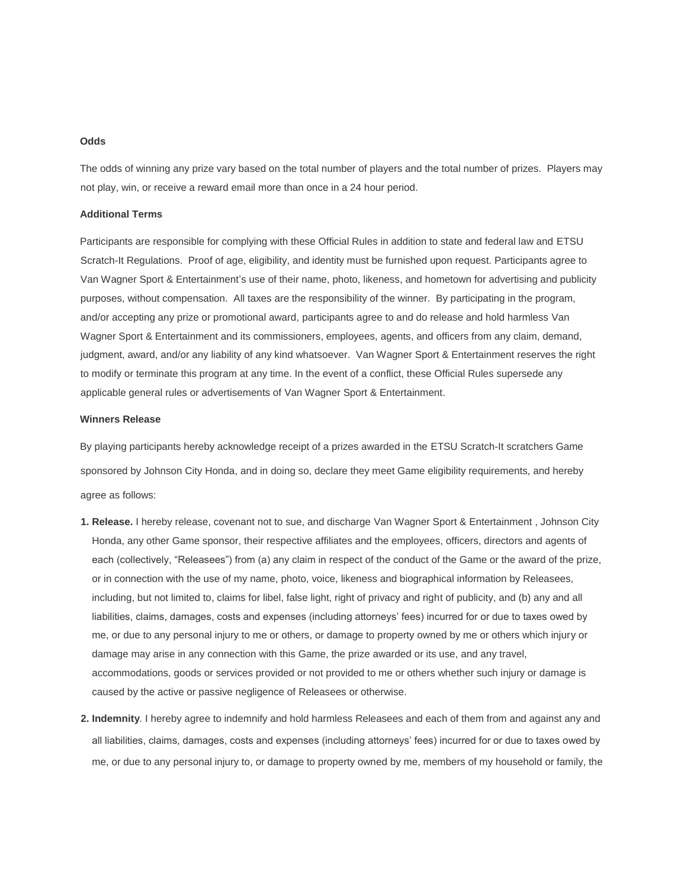# **Odds**

The odds of winning any prize vary based on the total number of players and the total number of prizes. Players may not play, win, or receive a reward email more than once in a 24 hour period.

### **Additional Terms**

Participants are responsible for complying with these Official Rules in addition to state and federal law and ETSU Scratch-It Regulations. Proof of age, eligibility, and identity must be furnished upon request. Participants agree to Van Wagner Sport & Entertainment's use of their name, photo, likeness, and hometown for advertising and publicity purposes, without compensation. All taxes are the responsibility of the winner. By participating in the program, and/or accepting any prize or promotional award, participants agree to and do release and hold harmless Van Wagner Sport & Entertainment and its commissioners, employees, agents, and officers from any claim, demand, judgment, award, and/or any liability of any kind whatsoever. Van Wagner Sport & Entertainment reserves the right to modify or terminate this program at any time. In the event of a conflict, these Official Rules supersede any applicable general rules or advertisements of Van Wagner Sport & Entertainment.

# **Winners Release**

By playing participants hereby acknowledge receipt of a prizes awarded in the ETSU Scratch-It scratchers Game sponsored by Johnson City Honda, and in doing so, declare they meet Game eligibility requirements, and hereby agree as follows:

- **1. Release.** I hereby release, covenant not to sue, and discharge Van Wagner Sport & Entertainment , Johnson City Honda, any other Game sponsor, their respective affiliates and the employees, officers, directors and agents of each (collectively, "Releasees") from (a) any claim in respect of the conduct of the Game or the award of the prize, or in connection with the use of my name, photo, voice, likeness and biographical information by Releasees, including, but not limited to, claims for libel, false light, right of privacy and right of publicity, and (b) any and all liabilities, claims, damages, costs and expenses (including attorneys' fees) incurred for or due to taxes owed by me, or due to any personal injury to me or others, or damage to property owned by me or others which injury or damage may arise in any connection with this Game, the prize awarded or its use, and any travel, accommodations, goods or services provided or not provided to me or others whether such injury or damage is caused by the active or passive negligence of Releasees or otherwise.
- **2. Indemnity**. I hereby agree to indemnify and hold harmless Releasees and each of them from and against any and all liabilities, claims, damages, costs and expenses (including attorneys' fees) incurred for or due to taxes owed by me, or due to any personal injury to, or damage to property owned by me, members of my household or family, the